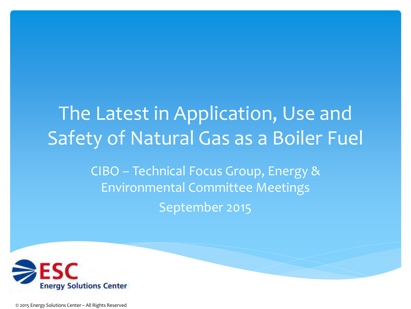# The Latest in Application, Use and Safety of Natural Gas as a Boiler Fuel

CIBO – Technical Focus Group, Energy & Environmental Committee Meetings September 2015



© 2015 Energy Solutions Center – All Rights Reserved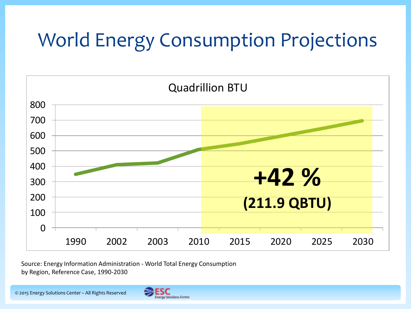### World Energy Consumption Projections



Source: Energy Information Administration - World Total Energy Consumption by Region, Reference Case, 1990-2030

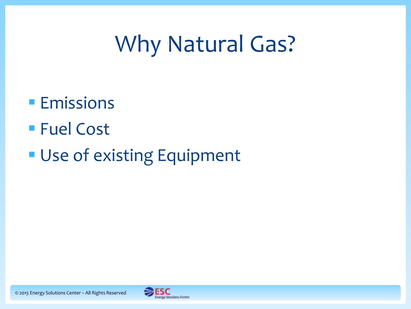## Why Natural Gas?

### **Emissions**

- Fuel Cost
- **Use of existing Equipment**

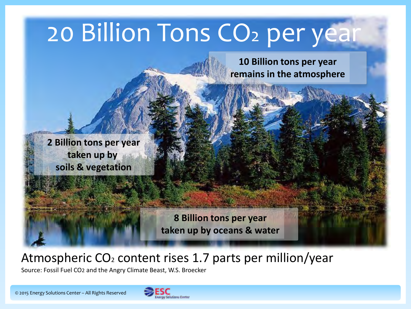# 20 Billion Tons CO<sub>2</sub> per year

**10 Billion tons per year remains in the atmosphere**

**2 Billion tons per year taken up by soils & vegetation**

> **8 Billion tons per year taken up by oceans & water**

### Atmospheric  $CO<sub>2</sub>$  content rises 1.7 parts per million/year

Source: Fossil Fuel CO2 and the Angry Climate Beast, W.S. Broecker

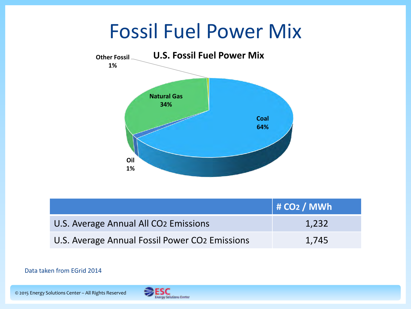### Fossil Fuel Power Mix



|                                                   | $\vert$ # CO2 / MWh |
|---------------------------------------------------|---------------------|
| U.S. Average Annual All CO <sub>2</sub> Emissions | 1,232               |
| U.S. Average Annual Fossil Power CO2 Emissions    | 1.745               |

#### Data taken from EGrid 2014

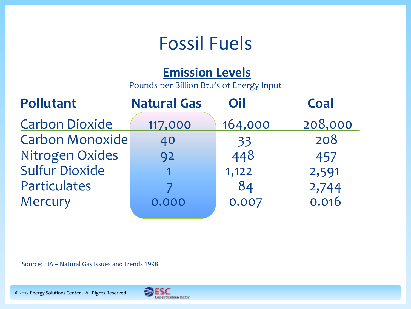### Fossil Fuels

#### **Emission Levels**

Pounds per Billion Btu's of Energy Input

| <b>Pollutant</b>       | <b>Natural Gas</b> | Oil     | Coal    |
|------------------------|--------------------|---------|---------|
| <b>Carbon Dioxide</b>  | 117,000            | 164,000 | 208,000 |
| <b>Carbon Monoxide</b> | 40                 | 33      | 208     |
| Nitrogen Oxides        | 92                 | 448     | 457     |
| <b>Sulfur Dioxide</b>  |                    | 1,122   | 2,591   |
| Particulates           |                    | 84      | 2,744   |
| Mercury                | 0.000              | 0.007   | 0.016   |
|                        |                    |         |         |

Source: EIA – Natural Gas Issues and Trends 1998

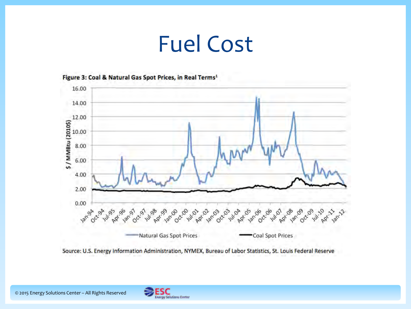### Fuel Cost



Figure 3: Coal & Natural Gas Spot Prices, in Real Terms<sup>1</sup>

Source: U.S. Energy Information Administration, NYMEX, Bureau of Labor Statistics, St. Louis Federal Reserve

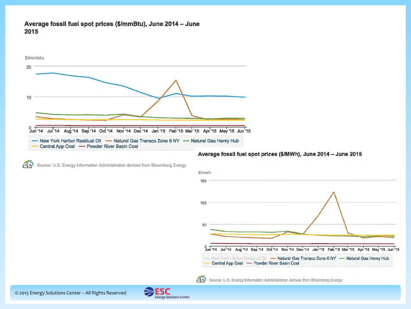#### Average fossil fuel spot prices (\$/mmBtu), June 2014 - June 2015



Source: U.S. Energy Information Administration derived from Bloomberg Energy  $e$ ia





etal Source: U.S. Energy Information Administration derived from Bloomberg Energy

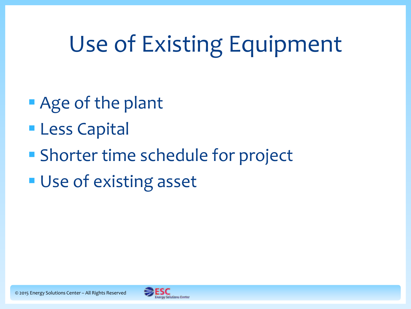## Use of Existing Equipment

- **Age of the plant**
- **Less Capital**
- **Shorter time schedule for project**
- **Use of existing asset**

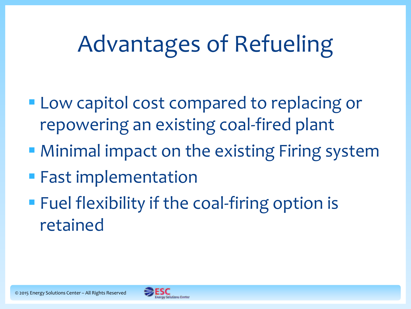## Advantages of Refueling

- **Low capitol cost compared to replacing or** repowering an existing coal-fired plant
- **Minimal impact on the existing Firing system**
- **Fast implementation**
- **Fuel flexibility if the coal-firing option is** retained

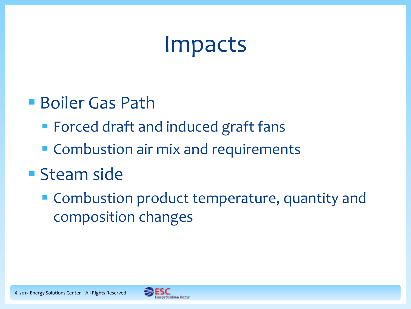### Impacts

- Boiler Gas Path
	- Forced draft and induced graft fans
	- **Combustion air mix and requirements**

### **Steam side**

**Combustion product temperature, quantity and** composition changes